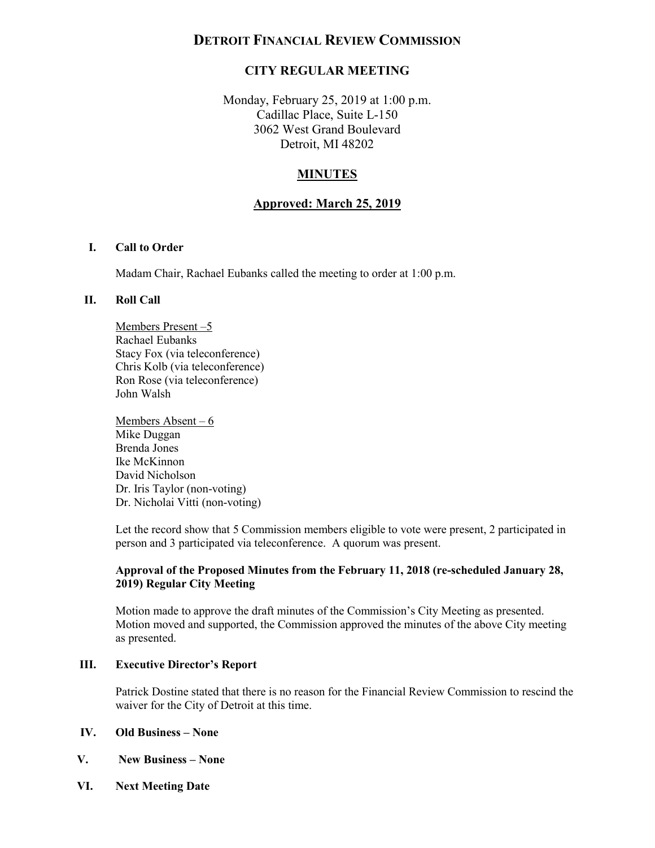# **DETROIT FINANCIAL REVIEW COMMISSION**

# **CITY REGULAR MEETING**

 Monday, February 25, 2019 at 1:00 p.m. Cadillac Place, Suite L-150 3062 West Grand Boulevard Detroit, MI 48202

# **MINUTES**

### **Approved: March 25, 2019**

#### **I. Call to Order**

Madam Chair, Rachael Eubanks called the meeting to order at 1:00 p.m.

#### **II. Roll Call**

Members Present –5 Rachael Eubanks Stacy Fox (via teleconference) Chris Kolb (via teleconference) Ron Rose (via teleconference) John Walsh

Members Absent – 6 Mike Duggan Brenda Jones Ike McKinnon David Nicholson Dr. Iris Taylor (non-voting) Dr. Nicholai Vitti (non-voting)

 Let the record show that 5 Commission members eligible to vote were present, 2 participated in person and 3 participated via teleconference. A quorum was present.

#### **Approval of the Proposed Minutes from the February 11, 2018 (re-scheduled January 28, 2019) Regular City Meeting**

Motion made to approve the draft minutes of the Commission's City Meeting as presented. Motion moved and supported, the Commission approved the minutes of the above City meeting as presented.

#### **III. Executive Director's Report**

 Patrick Dostine stated that there is no reason for the Financial Review Commission to rescind the waiver for the City of Detroit at this time.

#### **IV. Old Business – None**

- **V. New Business None**
- **VI. Next Meeting Date**